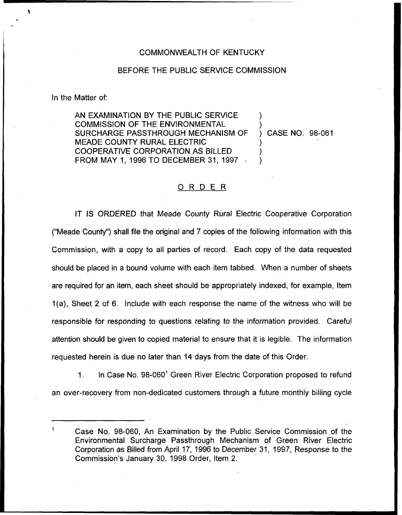## COMMONWEALTH OF KENTUCKY

## BEFORE THE PUBLIC SERVICE COMMISSION

In the Matter of:

AN EXAMINATION BY THE PUBLIC SERVICE COMMISSION OF THE ENVIRONMENTAL SURCHARGE PASSTHROUGH MECHANISM OF MEADE COUNTY RURAL ELECTRIC COOPERATIVE CORPORATION AS BILLED FROM MAY 1, 1996 TO DECEMBER 31, 199? ) ) ) CASE NO. 98-061 ) ) )

## ORDER

IT IS ORDERED that Meade County Rural Electric Cooperative Corporation ("Meade County") shall file the original and 7 copies of the following information with this Commission, with a copy to all parties of record. Each copy of the data requested should be placed in a bound volume with each item tabbed. When a number of sheets are required for an item, each sheet should be appropriately indexed, for example, Item 1(a), Sheet 2 of 6. Include with each response the name of the witness who will be responsible for responding to questions relating to the information provided. Careful attention should be given to copied material to ensure that it is legible. The information requested herein is due no later than 14 days from the date of this Order.

1. In Case No.  $98-060^{\circ}$  Green River Electric Corporation proposed to refund an over-recovery from non-dedicated customers through a future monthly billing cycle

Case No. 98-060, An Examination by the Public Service Commission of the Environmental Surcharge Passthrough Mechanism of Green River Electric Corporation as Billed from April 17, 1996 to December 31, 1997, Response to the Commission's January 30, 1998 Order, Item 2.